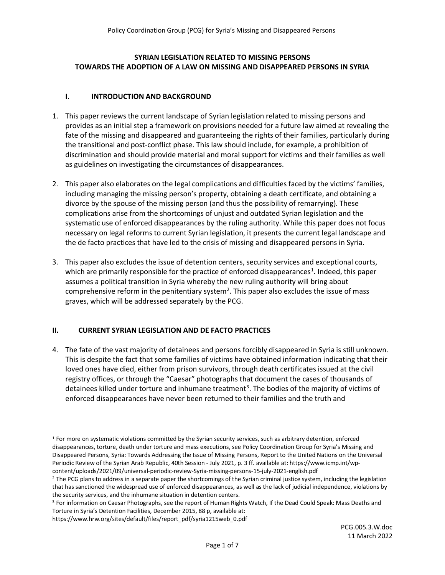## **SYRIAN LEGISLATION RELATED TO MISSING PERSONS TOWARDS THE ADOPTION OF A LAW ON MISSING AND DISAPPEARED PERSONS IN SYRIA**

## **I. INTRODUCTION AND BACKGROUND**

- 1. This paper reviews the current landscape of Syrian legislation related to missing persons and provides as an initial step a framework on provisions needed for a future law aimed at revealing the fate of the missing and disappeared and guaranteeing the rights of their families, particularly during the transitional and post-conflict phase. This law should include, for example, a prohibition of discrimination and should provide material and moral support for victims and their families as well as guidelines on investigating the circumstances of disappearances.
- 2. This paper also elaborates on the legal complications and difficulties faced by the victims' families, including managing the missing person's property, obtaining a death certificate, and obtaining a divorce by the spouse of the missing person (and thus the possibility of remarrying). These complications arise from the shortcomings of unjust and outdated Syrian legislation and the systematic use of enforced disappearances by the ruling authority. While this paper does not focus necessary on legal reforms to current Syrian legislation, it presents the current legal landscape and the de facto practices that have led to the crisis of missing and disappeared persons in Syria.
- 3. This paper also excludes the issue of detention centers, security services and exceptional courts, which are primarily responsible for the practice of enforced disappearances<sup>[1](#page-0-0)</sup>. Indeed, this paper assumes a political transition in Syria whereby the new ruling authority will bring about comprehensive reform in the penitentiary system<sup>[2](#page-0-1)</sup>. This paper also excludes the issue of mass graves, which will be addressed separately by the PCG.

## **II. CURRENT SYRIAN LEGISLATION AND DE FACTO PRACTICES**

4. The fate of the vast majority of detainees and persons forcibly disappeared in Syria is still unknown. This is despite the fact that some families of victims have obtained information indicating that their loved ones have died, either from prison survivors, through death certificates issued at the civil registry offices, or through the "Caesar" photographs that document the cases of thousands of detainees killed under torture and inhumane treatment<sup>[3](#page-0-2)</sup>. The bodies of the majority of victims of enforced disappearances have never been returned to their families and the truth and

https://www.hrw.org/sites/default/files/report\_pdf/syria1215web\_0.pdf

<span id="page-0-0"></span> <sup>1</sup> For more on systematic violations committed by the Syrian security services, such as arbitrary detention, enforced disappearances, torture, death under torture and mass executions, see Policy Coordination Group for Syria's Missing and Disappeared Persons, Syria: Towards Addressing the Issue of Missing Persons, Report to the United Nations on the Universal Periodic Review of the Syrian Arab Republic, 40th Session - July 2021, p. 3 ff. available at: https://www.icmp.int/wpcontent/uploads/2021/09/universal-periodic-review-Syria-missing-persons-15-july-2021-english.pdf

<span id="page-0-1"></span><sup>&</sup>lt;sup>2</sup> The PCG plans to address in a separate paper the shortcomings of the Syrian criminal justice system, including the legislation that has sanctioned the widespread use of enforced disappearances, as well as the lack of judicial independence, violations by the security services, and the inhumane situation in detention centers.

<span id="page-0-2"></span><sup>&</sup>lt;sup>3</sup> For information on Caesar Photographs, see the report of Human Rights Watch, If the Dead Could Speak: Mass Deaths and Torture in Syria's Detention Facilities, December 2015, 88 p, available at: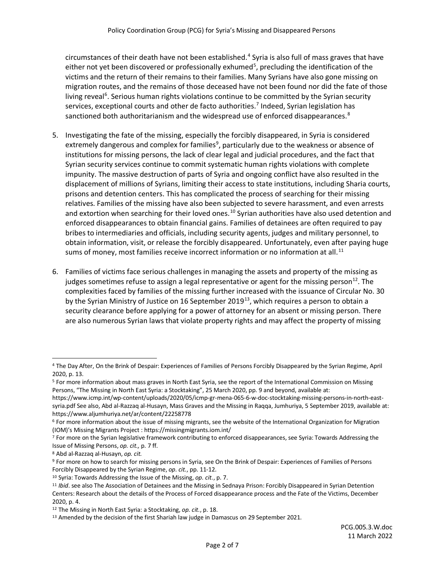circumstances of their death have not been established. [4](#page-1-0) Syria is also full of mass graves that have either not yet been discovered or professionally exhumed<sup>[5](#page-1-1)</sup>, precluding the identification of the victims and the return of their remains to their families. Many Syrians have also gone missing on migration routes, and the remains of those deceased have not been found nor did the fate of those living reveal<sup>[6](#page-1-2)</sup>. Serious human rights violations continue to be committed by the Syrian security services, exceptional courts and other de facto authorities. [7](#page-1-3) Indeed, Syrian legislation has sanctioned both authoritarianism and the widespread use of enforced disappearances.<sup>[8](#page-1-4)</sup>

- 5. Investigating the fate of the missing, especially the forcibly disappeared, in Syria is considered extremely dangerous and complex for families<sup>9</sup>, particularly due to the weakness or absence of institutions for missing persons, the lack of clear legal and judicial procedures, and the fact that Syrian security services continue to commit systematic human rights violations with complete impunity. The massive destruction of parts of Syria and ongoing conflict have also resulted in the displacement of millions of Syrians, limiting their access to state institutions, including Sharia courts, prisons and detention centers. This has complicated the process of searching for their missing relatives. Families of the missing have also been subjected to severe harassment, and even arrests and extortion when searching for their loved ones.<sup>[10](#page-1-6)</sup> Syrian authorities have also used detention and enforced disappearances to obtain financial gains. Families of detainees are often required to pay bribes to intermediaries and officials, including security agents, judges and military personnel, to obtain information, visit, or release the forcibly disappeared. Unfortunately, even after paying huge sums of money, most families receive incorrect information or no information at all.<sup>[11](#page-1-7)</sup>
- 6. Families of victims face serious challenges in managing the assets and property of the missing as judges sometimes refuse to assign a legal representative or agent for the missing person<sup>12</sup>. The complexities faced by families of the missing further increased with the issuance of Circular No. 30 by the Syrian Ministry of Justice on 16 September 2019<sup>13</sup>, which requires a person to obtain a security clearance before applying for a power of attorney for an absent or missing person. There are also numerous Syrian laws that violate property rights and may affect the property of missing

<span id="page-1-0"></span> <sup>4</sup> The Day After, On the Brink of Despair: Experiences of Families of Persons Forcibly Disappeared by the Syrian Regime, April 2020, p. 13.

<span id="page-1-1"></span><sup>5</sup> For more information about mass graves in North East Syria, see the report of the International Commission on Missing Persons, "The Missing in North East Syria: a Stocktaking", 25 March 2020, pp. 9 and beyond, available at:

https://www.icmp.int/wp-content/uploads/2020/05/icmp-gr-mena-065-6-w-doc-stocktaking-missing-persons-in-north-eastsyria.pdf See also, Abd al-Razzaq al-Husayn, Mass Graves and the Missing in Raqqa, Jumhuriya, 5 September 2019, available at: <https://www.aljumhuriya.net/ar/content/22258778>

<span id="page-1-2"></span> $6$  For more information about the issue of missing migrants, see the website of the International Organization for Migration (IOM)'s Missing Migrants Project : <https://missingmigrants.iom.int/>

<span id="page-1-3"></span><sup>7</sup> For more on the Syrian legislative framework contributing to enforced disappearances, see Syria: Towards Addressing the Issue of Missing Persons, *op. cit.,* p. 7 ff. 8 Abd al-Razzaq al-Husayn, *op. cit.*

<span id="page-1-4"></span>

<span id="page-1-5"></span><sup>9</sup> For more on how to search for missing persons in Syria, see On the Brink of Despair: Experiences of Families of Persons Forcibly Disappeared by the Syrian Regime, *op. cit.*, pp. 11-12.

<span id="page-1-7"></span><span id="page-1-6"></span><sup>&</sup>lt;sup>10</sup> Syria: Towards Addressing the Issue of the Missing, *op. cit.*, p. 7.<br><sup>11</sup> *Ibid*. see also The Association of Detainees and the Missing in Sednaya Prison: Forcibly Disappeared in Syrian Detention Centers: Research about the details of the Process of Forced disappearance process and the Fate of the Victims, December 2020, p. 4.

<span id="page-1-9"></span><span id="page-1-8"></span><sup>&</sup>lt;sup>12</sup> The Missing in North East Syria: a Stocktaking, *op. cit.*, p. 18.<br><sup>13</sup> Amended by the decision of the first Shariah law judge in Damascus on 29 September 2021.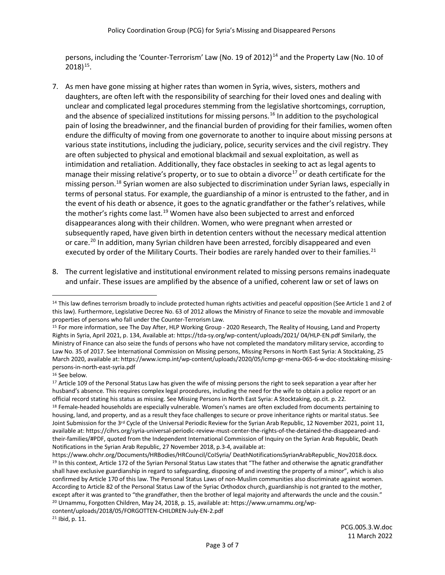persons, including the 'Counter-Terrorism' Law (No. 19 of 2012)<sup>[14](#page-2-0)</sup> and the Property Law (No. 10 of  $2018$ <sup>[15](#page-2-1)</sup>.

- 7. As men have gone missing at higher rates than women in Syria, wives, sisters, mothers and daughters, are often left with the responsibility of searching for their loved ones and dealing with unclear and complicated legal procedures stemming from the legislative shortcomings, corruption, and the absence of specialized institutions for missing persons.<sup>[16](#page-2-2)</sup> In addition to the psychological pain of losing the breadwinner, and the financial burden of providing for their families, women often endure the difficulty of moving from one governorate to another to inquire about missing persons at various state institutions, including the judiciary, police, security services and the civil registry. They are often subjected to physical and emotional blackmail and sexual exploitation, as well as intimidation and retaliation. Additionally, they face obstacles in seeking to act as legal agents to manage their missing relative's property, or to sue to obtain a divorce<sup>[17](#page-2-3)</sup> or death certificate for the missing person. [18](#page-2-4) Syrian women are also subjected to discrimination under Syrian laws, especially in terms of personal status. For example, the guardianship of a minor is entrusted to the father, and in the event of his death or absence, it goes to the agnatic grandfather or the father's relatives, while the mother's rights come last.<sup>[19](#page-2-5)</sup> Women have also been subjected to arrest and enforced disappearances along with their children. Women, who were pregnant when arrested or subsequently raped, have given birth in detention centers without the necessary medical attention or care.<sup>[20](#page-2-6)</sup> In addition, many Syrian children have been arrested, forcibly disappeared and even executed by order of the Military Courts. Their bodies are rarely handed over to their families.<sup>[21](#page-2-7)</sup>
- 8. The current legislative and institutional environment related to missing persons remains inadequate and unfair. These issues are amplified by the absence of a unified, coherent law or set of laws on

<span id="page-2-6"></span>content/uploads/2018/05/FORGOTTEN-CHILDREN-July-EN-2.pdf

<span id="page-2-0"></span><sup>&</sup>lt;sup>14</sup> This law defines terrorism broadly to include protected human rights activities and peaceful opposition (See Article 1 and 2 of this law). Furthermore, Legislative Decree No. 63 of 2012 allows the Ministry of Finance to seize the movable and immovable properties of persons who fall under the Counter-Terrorism Law.<br><sup>15</sup> For more information, see The Day After, HLP Working Group - 2020 Research, The Reality of Housing, Land and Property

<span id="page-2-1"></span>Rights in Syria, April 2021, p. 134, Available at: https://tda-sy.org/wp-content/uploads/2021/ 04/HLP-EN.pdf Similarly, the Ministry of Finance can also seize the funds of persons who have not completed the mandatory military service, according to Law No. 35 of 2017. See International Commission on Missing persons, Missing Persons in North East Syria: A Stocktaking, 25 March 2020, available at: https://www.icmp.int/wp-content/uploads/2020/05/icmp-gr-mena-065-6-w-doc-stocktaking-missingpersons-in-north-east-syria.pdf

<span id="page-2-2"></span><sup>16</sup> See below.

<span id="page-2-3"></span><sup>&</sup>lt;sup>17</sup> Article 109 of the Personal Status Law has given the wife of missing persons the right to seek separation a year after her husband's absence. This requires complex legal procedures, including the need for the wife to obtain a police report or an official record stating his status as missing. See Missing Persons in North East Syria: A Stocktaking, op.cit. p. 22.

<span id="page-2-4"></span><sup>18</sup> Female-headed households are especially vulnerable. Women's names are often excluded from documents pertaining to housing, land, and property, and as a result they face challenges to secure or prove inheritance rights or marital status. See Joint Submission for the 3rd Cycle of the Universal Periodic Review for the Syrian Arab Republic, 12 November 2021, point 11, available at[: https://cihrs.org/syria-universal-periodic-review-must-center-the-rights-of-the-detained-the-disappeared-and](https://cihrs.org/syria-universal-periodic-review-must-center-the-rights-of-the-detained-the-disappeared-and-their-families/#PDF)[their-families/#PDF,](https://cihrs.org/syria-universal-periodic-review-must-center-the-rights-of-the-detained-the-disappeared-and-their-families/#PDF) quoted from the Independent International Commission of Inquiry on the Syrian Arab Republic, Death Notifications in the Syrian Arab Republic, 27 November 2018, p.3-4, available at:

<span id="page-2-5"></span>https://www.ohchr.org/Documents/HRBodies/HRCouncil/CoISyria/ DeathNotificationsSyrianArabRepublic\_Nov2018.docx. 19 In this context, Article 172 of the Syrian Personal Status Law states that "The father and otherwise the agnatic grandfather shall have exclusive guardianship in regard to safeguarding, disposing of and investing the property of a minor", which is also confirmed by Article 170 of this law. The Personal Status Laws of non-Muslim communities also discriminate against women. According to Article 82 of the Personal Status Law of the Syriac Orthodox church, guardianship is not granted to the mother, except after it was granted to "the grandfather, then the brother of legal majority and afterwards the uncle and the cousin." <sup>20</sup> Urnammu, Forgotten Children, May 24, 2018, p. 15, available at: https://www.urnammu.org/wp-

<span id="page-2-7"></span><sup>21</sup> Ibid, p. 11.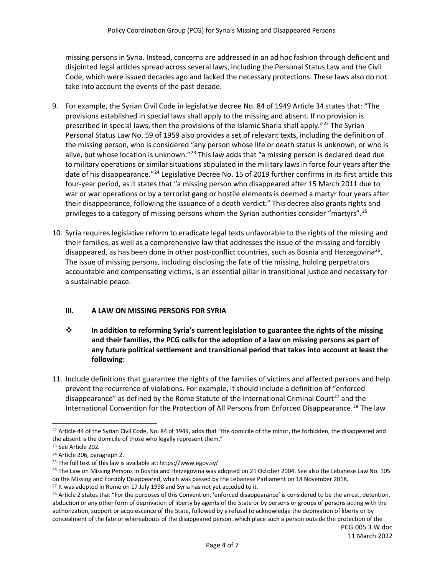missing persons in Syria. Instead, concerns are addressed in an ad hoc fashion through deficient and disjointed legal articles spread across several laws, including the Personal Status Law and the Civil Code, which were issued decades ago and lacked the necessary protections. These laws also do not take into account the events of the past decade.

- 9. For example, the Syrian Civil Code in legislative decree No. 84 of 1949 Article 34 states that: "The provisions established in special laws shall apply to the missing and absent. If no provision is prescribed in special laws, then the provisions of the Islamic Sharia shall apply."<sup>[22](#page-3-0)</sup> The Syrian Personal Status Law No. 59 of 1959 also provides a set of relevant texts, including the definition of the missing person, who is considered "any person whose life or death status is unknown, or who is alive, but whose location is unknown."<sup>[23](#page-3-1)</sup> This law adds that "a missing person is declared dead due to military operations or similar situations stipulated in the military laws in force four years after the date of his disappearance."<sup>[24](#page-3-2)</sup> Legislative Decree No. 15 of 2019 further confirms in its first article this four-year period, as it states that "a missing person who disappeared after 15 March 2011 due to war or war operations or by a terrorist gang or hostile elements is deemed a martyr four years after their disappearance, following the issuance of a death verdict." This decree also grants rights and privileges to a category of missing persons whom the Syrian authorities consider "martyrs".<sup>[25](#page-3-3)</sup>
- 10. Syria requires legislative reform to eradicate legal texts unfavorable to the rights of the missing and their families, as well as a comprehensive law that addresses the issue of the missing and forcibly disappeared, as has been done in other post-conflict countries, such as Bosnia and Herzegovina<sup>[26](#page-3-4)</sup>. The issue of missing persons, including disclosing the fate of the missing, holding perpetrators accountable and compensating victims, is an essential pillar in transitional justice and necessary for a sustainable peace.

## **III. A LAW ON MISSING PERSONS FOR SYRIA**

- **In addition to reforming Syria's current legislation to guarantee the rights of the missing and their families, the PCG calls for the adoption of a law on missing persons as part of any future political settlement and transitional period that takes into account at least the following:**
- 11. Include definitions that guarantee the rights of the families of victims and affected persons and help prevent the recurrence of violations. For example, it should include a definition of "enforced disappearance" as defined by the Rome Statute of the International Criminal Court<sup>[27](#page-3-5)</sup> and the International Convention for the Protection of All Persons from Enforced Disappearance. [28](#page-3-6) The law

<span id="page-3-0"></span><sup>&</sup>lt;sup>22</sup> Article 44 of the Syrian Civil Code, No. 84 of 1949, adds that "the domicile of the minor, the forbidden, the disappeared and the absent is the domicile of those who legally represent them."

<span id="page-3-1"></span><sup>23</sup> See Article 202.

<span id="page-3-2"></span><sup>24</sup> Article 206, paragraph 2.

<span id="page-3-3"></span><sup>25</sup> The full text of this law is available at[: https://www.egov.sy/](https://www.egov.sy/law/ar/309/0/%D8%A7%D9%84%D9%85%D8%B1%D8%B3%D9%88%D9%85+%D8%A7%D9%84%D8%AA%D8%B4%D8%B1%D9%8A%D8%B9%D9%8A+%D8%B1%D9%82%D9%85+15+%D9%84%D8%B9%D8%A7%D9%85+2019+%D8%A7%D9%84%D9%82%D8%A7%D8%B6%D9%8A+%D8%A8%D8%A5%D8%B6%D8%A7%D9%81%D8%A9+%D9%85%D8%A7%D8%AF%D8%AA%D9%8A%D9%86+%D8%A5%D9%84%D9%89+%D9%82%D8%A7%D9%86%D9%88%D9%86%D9%8A+%D8%A7%D9%84%D8%AE%D8%AF%D9%85%D8%A9+%D8%A7%D9%84%D8%B9%D8%B3%D9%83%D8%B1%D9%8A%D8%A9+%D9%88%D8%AE%D8%AF%D9%85%D8%A9+%D8%B9%D8%B3%D9%83%D8%B1%D9%8A%D9%8A+%D9%82%D9%88%D9%89+%D8%A7%D9%84%D8%A3%D9%85%D9%86+%D8%A7%D9%84%D8%AF%D8%A7%D8%AE%D9%84%D9%8A+%D8%A5%D8%B6%D8%A7%D9%81%D8%A9+%D8%A5%D9%84%D9%89+%D8%AA%D8%B9%D8%AF%D9%8A%D9%84+%D9%85%D8%A7%D8%AF%D8%AA%D9%8A%D9%86+%D9%85%D9%86+%D9%82%D8%A7%D9%86%D9%88%D9%86%D9%8A+%D8%A7%D9%84%D9%85%D8%B9%D8%A7%D8%B4%D8%A7%D8%AA+%D8%A7%D9%84%D8%B9%D8%B3%D9%83%D8%B1%D9%8A%D8%A9+%D9%88%D9%85%D8%B9%D8%A7%D8%B4%D8%A7%D8%AA+%D8%B9%D8%B3%D9%83%D8%B1%D9%8A%D9%8A+%D9%82%D9%88%D9%89+%D8%A7%D9%84%D8%A3%D9%85%D9%86+%D8%A7%D9%84%D8%AF%D8%A7%D8%AE%D9%84%D9%8A.html)

<span id="page-3-4"></span><sup>&</sup>lt;sup>26</sup> The Law on Missing Persons in Bosnia and Herzegovina was adopted on 21 October 2004. See also the Lebanese Law No. 105 on the Missing and Forcibly Disappeared, which was passed by the Lebanese Parliament on 18 November 2018.

<span id="page-3-5"></span><sup>&</sup>lt;sup>27</sup> It was adopted in Rome on 17 July 1998 and Syria has not yet acceded to it.

<span id="page-3-6"></span><sup>&</sup>lt;sup>28</sup> Article 2 states that "For the purposes of this Convention, 'enforced disappearance' is considered to be the arrest, detention, abduction or any other form of deprivation of liberty by agents of the State or by persons or groups of persons acting with the authorization, support or acquiescence of the State, followed by a refusal to acknowledge the deprivation of liberty or by concealment of the fate or whereabouts of the disappeared person, which place such a person outside the protection of the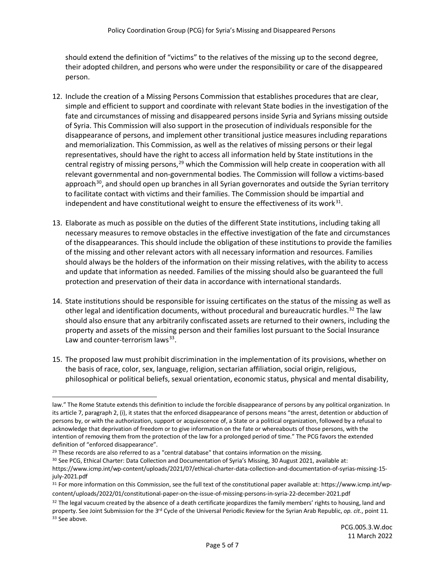should extend the definition of "victims" to the relatives of the missing up to the second degree, their adopted children, and persons who were under the responsibility or care of the disappeared person.

- 12. Include the creation of a Missing Persons Commission that establishes procedures that are clear, simple and efficient to support and coordinate with relevant State bodies in the investigation of the fate and circumstances of missing and disappeared persons inside Syria and Syrians missing outside of Syria. This Commission will also support in the prosecution of individuals responsible for the disappearance of persons, and implement other transitional justice measures including reparations and memorialization. This Commission, as well as the relatives of missing persons or their legal representatives, should have the right to access all information held by State institutions in the central registry of missing persons,  $29$  which the Commission will help create in cooperation with all relevant governmental and non-governmental bodies. The Commission will follow a victims-based approach<sup>30</sup>, and should open up branches in all Syrian governorates and outside the Syrian territory to facilitate contact with victims and their families. The Commission should be impartial and independent and have constitutional weight to ensure the effectiveness of its work<sup>31</sup>.
- 13. Elaborate as much as possible on the duties of the different State institutions, including taking all necessary measures to remove obstacles in the effective investigation of the fate and circumstances of the disappearances. This should include the obligation of these institutions to provide the families of the missing and other relevant actors with all necessary information and resources. Families should always be the holders of the information on their missing relatives, with the ability to access and update that information as needed. Families of the missing should also be guaranteed the full protection and preservation of their data in accordance with international standards.
- 14. State institutions should be responsible for issuing certificates on the status of the missing as well as other legal and identification documents, without procedural and bureaucratic hurdles.<sup>[32](#page-4-2)</sup> The law should also ensure that any arbitrarily confiscated assets are returned to their owners, including the property and assets of the missing person and their families lost pursuant to the Social Insurance Law and counter-terrorism laws $^{33}$  $^{33}$  $^{33}$ .
- 15. The proposed law must prohibit discrimination in the implementation of its provisions, whether on the basis of race, color, sex, language, religion, sectarian affiliation, social origin, religious, philosophical or political beliefs, sexual orientation, economic status, physical and mental disability,

l law." The Rome Statute extends this definition to include the forcible disappearance of persons by any political organization. In its article 7, paragraph 2, (i), it states that the enforced disappearance of persons means "the arrest, detention or abduction of persons by, or with the authorization, support or acquiescence of, a State or a political organization, followed by a refusal to acknowledge that deprivation of freedom or to give information on the fate or whereabouts of those persons, with the intention of removing them from the protection of the law for a prolonged period of time." The PCG favors the extended definition of "enforced disappearance".

<span id="page-4-0"></span><sup>&</sup>lt;sup>29</sup> These records are also referred to as a "central database" that contains information on the missing.

<span id="page-4-1"></span><sup>&</sup>lt;sup>30</sup> See PCG, Ethical Charter: Data Collection and Documentation of Syria's Missing, 30 August 2021, available at: https://www.icmp.int/wp-content/uploads/2021/07/ethical-charter-data-collection-and-documentation-of-syrias-missing-15 july-2021.pdf

<sup>31</sup> For more information on this Commission, see the full text of the constitutional paper available at[: https://www.icmp.int/wp](https://www.icmp.int/wp-content/uploads/2022/01/constitutional-paper-on-the-issue-of-missing-persons-in-syria-22-december-2021.pdf)[content/uploads/2022/01/constitutional-paper-on-the-issue-of-missing-persons-in-syria-22-december-2021.pdf](https://www.icmp.int/wp-content/uploads/2022/01/constitutional-paper-on-the-issue-of-missing-persons-in-syria-22-december-2021.pdf)

<span id="page-4-3"></span><span id="page-4-2"></span> $32$  The legal vacuum created by the absence of a death certificate jeopardizes the family members' rights to housing, land and property. See Joint Submission for the 3rd Cycle of the Universal Periodic Review for the Syrian Arab Republic, *op. cit*., point 11. <sup>33</sup> See above.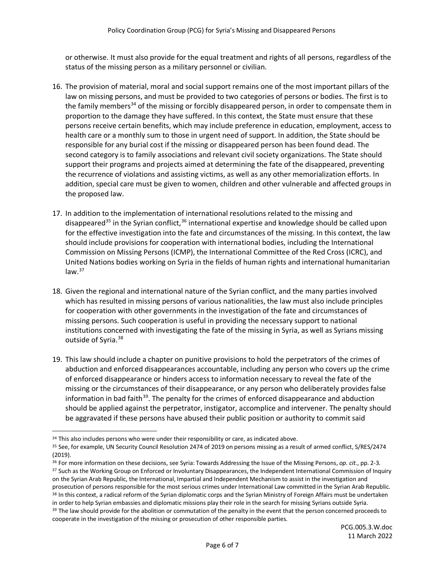or otherwise. It must also provide for the equal treatment and rights of all persons, regardless of the status of the missing person as a military personnel or civilian.

- 16. The provision of material, moral and social support remains one of the most important pillars of the law on missing persons, and must be provided to two categories of persons or bodies. The first is to the family members<sup>[34](#page-5-0)</sup> of the missing or forcibly disappeared person, in order to compensate them in proportion to the damage they have suffered. In this context, the State must ensure that these persons receive certain benefits, which may include preference in education, employment, access to health care or a monthly sum to those in urgent need of support. In addition, the State should be responsible for any burial cost if the missing or disappeared person has been found dead. The second category is to family associations and relevant civil society organizations. The State should support their programs and projects aimed at determining the fate of the disappeared, preventing the recurrence of violations and assisting victims, as well as any other memorialization efforts. In addition, special care must be given to women, children and other vulnerable and affected groups in the proposed law.
- 17. In addition to the implementation of international resolutions related to the missing and disappeared<sup>[35](#page-5-1)</sup> in the Syrian conflict,  $36$  international expertise and knowledge should be called upon for the effective investigation into the fate and circumstances of the missing. In this context, the law should include provisions for cooperation with international bodies, including the International Commission on Missing Persons (ICMP), the International Committee of the Red Cross (ICRC), and United Nations bodies working on Syria in the fields of human rights and international humanitarian  $law.<sup>37</sup>$  $law.<sup>37</sup>$  $law.<sup>37</sup>$
- 18. Given the regional and international nature of the Syrian conflict, and the many parties involved which has resulted in missing persons of various nationalities, the law must also include principles for cooperation with other governments in the investigation of the fate and circumstances of missing persons. Such cooperation is useful in providing the necessary support to national institutions concerned with investigating the fate of the missing in Syria, as well as Syrians missing outside of Syria.<sup>[38](#page-5-4)</sup>
- 19. This law should include a chapter on punitive provisions to hold the perpetrators of the crimes of abduction and enforced disappearances accountable, including any person who covers up the crime of enforced disappearance or hinders access to information necessary to reveal the fate of the missing or the circumstances of their disappearance, or any person who deliberately provides false information in bad faith<sup>[39](#page-5-5)</sup>. The penalty for the crimes of enforced disappearance and abduction should be applied against the perpetrator, instigator, accomplice and intervener. The penalty should be aggravated if these persons have abused their public position or authority to commit said

<span id="page-5-0"></span><sup>&</sup>lt;sup>34</sup> This also includes persons who were under their responsibility or care, as indicated above.

<span id="page-5-1"></span><sup>35</sup> See, for example, UN Security Council Resolution 2474 of 2019 on persons missing as a result of armed conflict, S/RES/2474 (2019).

<span id="page-5-3"></span><span id="page-5-2"></span><sup>36</sup> For more information on these decisions, see Syria: Towards Addressing the Issue of the Missing Persons, *op. cit*., pp. 2-3. <sup>37</sup> Such as the Working Group on Enforced or Involuntary Disappearances, the Independent International Commission of Inquiry on the Syrian Arab Republic, the International, Impartial and Independent Mechanism to assist in the investigation and prosecution of persons responsible for the most serious crimes under International Law committed in the Syrian Arab Republic. 38 In this context, a radical reform of the Syrian diplomatic corps and the Syrian Ministry of Foreign Affairs must be undertaken in order to help Syrian embassies and diplomatic missions play their role in the search for missing Syrians outside Syria. <sup>39</sup> The law should provide for the abolition or commutation of the penalty in the event that the person concerned proceeds to

<span id="page-5-5"></span><span id="page-5-4"></span>cooperate in the investigation of the missing or prosecution of other responsible parties.